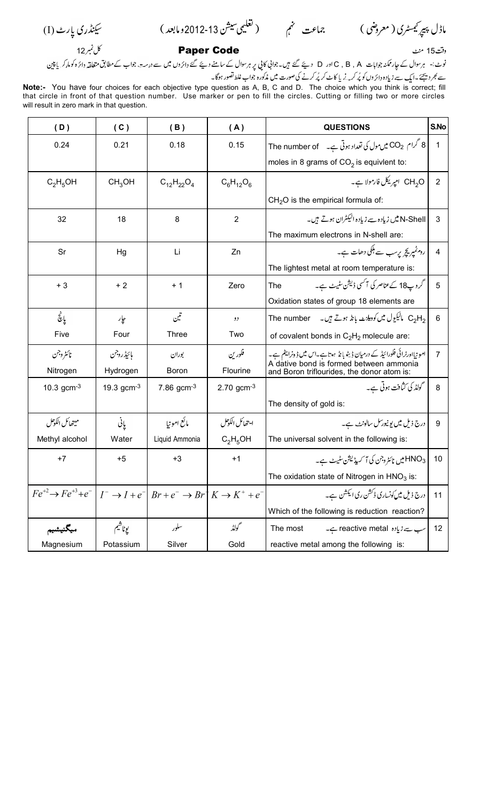(I)-

2012-13-

12 منٹ 15 منٹ اور 15 Aper Code واقت 15 منٹ کا کام نمبر 12 منٹ کا کہنا ہے ۔ اس کا کام نمبر 12 منٹ کا کام نمبر  $15$  aper Code  $\mu$ 

نوٹ:- ہرسوال کے جار ممکنہ جوابات C , B , A دے گئے ہیں۔جوانی کا پی پر ہرسوال کے سامنے دیئے گئے دائرہ کو کو ماکرہ کو ماکر مرکزہ کو ماکر مرکزہ کو ماکر دی کو ماکر دی کو ماکر د<br>سے بھر دیجئے۔ ایک سے زیادہ دائروں ک

**Note:-** You have four choices for each objective type question as A, B, C and D. The choice which you think is correct; fill that circle in front of that question number. Use marker or pen to fill the circles. Cutting or filling two or more circles will result in zero mark in that question.

| (D)                                                                                                                             | (C)                         | (B)               | (A)            | <b>QUESTIONS</b>                                                                      | S.No           |
|---------------------------------------------------------------------------------------------------------------------------------|-----------------------------|-------------------|----------------|---------------------------------------------------------------------------------------|----------------|
| 0.24                                                                                                                            | 0.21                        | 0.18              | 0.15           | The number of $\rightarrow$ 2 میں مول کی تعداد ہوتی ہے۔ $\sim 8$                      | 1              |
|                                                                                                                                 |                             |                   |                | moles in 8 grams of $CO2$ is equivlent to:                                            |                |
| $C_2H_5OH$                                                                                                                      | CH <sub>3</sub> OH          | $C_{12}H_{22}O_4$ | $C_6H_{12}O_6$ | CH <sub>2</sub> O امیریکل فارمولا ہے۔                                                 | $\overline{2}$ |
|                                                                                                                                 |                             |                   |                | $CH2O$ is the empirical formula of:                                                   |                |
| 32                                                                                                                              | 18                          | 8                 | $\overline{2}$ | N-Shell میں زیادہ سے زیادہ الیکٹران ہوتے ہیں۔                                         | 3              |
|                                                                                                                                 |                             |                   |                | The maximum electrons in N-shell are:                                                 |                |
| Sr                                                                                                                              | Hg                          | Li                | Zn             | روم ٹمپر پچر پرسب سے ہلکی دھات ہے۔                                                    | 4              |
|                                                                                                                                 |                             |                   |                | The lightest metal at room temperature is:                                            |                |
| $+3$                                                                                                                            | $+2$                        | $+1$              | Zero           | گروپ18 کےعناصر کی آگسی ڈیشن سٹیٹ ہے۔<br>The                                           | 5              |
|                                                                                                                                 |                             |                   |                | Oxidation states of group 18 elements are                                             |                |
| یانچ                                                                                                                            | جإر                         | تتين              | رو             | , C <sub>2</sub> H مالیکیول میں کودیلنٹ بانڈ ہوتے ہیں۔     The number                 | 6              |
| Five                                                                                                                            | Four                        | Three             | Two            | of covalent bonds in $C_2H_2$ molecule are:                                           |                |
| نائثروجن                                                                                                                        | مائيڈروجن                   | بوران             | فلورين         | امو نیااورٹرائی فلورائیڈ کے درمیان ڈیٹو بانڈ ہوتا ہے۔اس میں ڈونرایٹم ہے۔              | $\overline{7}$ |
| Nitrogen                                                                                                                        | Hydrogen                    | <b>Boron</b>      | Flourine       | A dative bond is formed between ammonia<br>and Boron triflourides, the donor atom is: |                |
| 10.3 $gcm^{-3}$                                                                                                                 | 19.3 $gcm^{-3}$             | 7.86 $gcm^{-3}$   | 2.70 $gcm-3$   | گولڈ کی کثافت ہوتی ہے۔                                                                | 8              |
|                                                                                                                                 |                             |                   |                | The density of gold is:                                                               |                |
| ميتھائل الكوكل                                                                                                                  | $\mathcal{Q}_{\mathcal{L}}$ | مائع امونيا       | ايتحائل الكوحل | درج ذیل میں یو نیورسل سالونٹ ہے۔                                                      | 9              |
| Methyl alcohol                                                                                                                  | Water                       | Liquid Ammonia    | $C_2H_5OH$     | The universal solvent in the following is:                                            |                |
| $+7$                                                                                                                            | $+5$                        | $+3$              | $+1$           | د HNO میں نائٹروجن کی آ کسیڈیشن سٹیٹ ہے۔                                              | 10             |
|                                                                                                                                 |                             |                   |                | The oxidation state of Nitrogen in $HNO3$ is:                                         |                |
| $Fe^{+2} \rightarrow Fe^{+3} + e^{-}$ $I^{-} \rightarrow I + e^{-}$ $Br + e^{-} \rightarrow Br^{+} K \rightarrow K^{+} + e^{-}$ |                             |                   |                | درج ذیل میں کونساری ڈکشن ری ایکشن ہے۔                                                 | 11             |
|                                                                                                                                 |                             |                   |                | Which of the following is reduction reaction?                                         |                |
| ميگنيشيم                                                                                                                        | يوناشيم                     | سلور              | حمولڈ          | The most<br>سب سے زیادہ reactive metal ہے۔                                            | 12             |
| Magnesium                                                                                                                       | Potassium                   | Silver            | Gold           | reactive metal among the following is:                                                |                |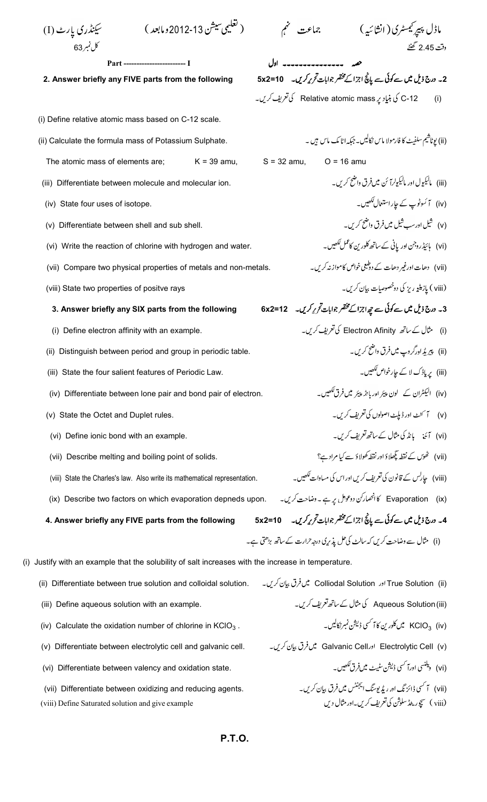1) 
$$
\frac{1}{2} \int_{\sqrt{2}} \int_{\sqrt{2}} \int_{\sqrt{2}} \int_{\sqrt{2}} \int_{\sqrt{2}} \int_{\sqrt{2}} \int_{\sqrt{2}} \int_{\sqrt{2}} \int_{\sqrt{2}} \int_{\sqrt{2}} \int_{\sqrt{2}} \int_{\sqrt{2}} \int_{\sqrt{2}} \int_{\sqrt{2}} \int_{\sqrt{2}} \int_{\sqrt{2}} \int_{\sqrt{2}} \int_{\sqrt{2}} \int_{\sqrt{2}} \int_{\sqrt{2}} \int_{\sqrt{2}} \int_{\sqrt{2}} \int_{\sqrt{2}} \int_{\sqrt{2}} \int_{\sqrt{2}} \int_{\sqrt{2}} \int_{\sqrt{2}} \int_{\sqrt{2}} \int_{\sqrt{2}} \int_{\sqrt{2}} \int_{\sqrt{2}} \int_{\sqrt{2}} \int_{\sqrt{2}} \int_{\sqrt{2}} \int_{\sqrt{2}} \int_{\sqrt{2}} \int_{\sqrt{2}} \int_{\sqrt{2}} \int_{\sqrt{2}} \int_{\sqrt{2}} \int_{\sqrt{2}} \int_{\sqrt{2}} \int_{\sqrt{2}} \int_{\sqrt{2}} \int_{\sqrt{2}} \int_{\sqrt{2}} \int_{\sqrt{2}} \int_{\sqrt{2}} \int_{\sqrt{2}} \int_{\sqrt{2}} \int_{\sqrt{2}} \int_{\sqrt{2}} \int_{\sqrt{2}} \int_{\sqrt{2}} \int_{\sqrt{2}} \int_{\sqrt{2}} \int_{\sqrt{2}} \int_{\sqrt{2}} \int_{\sqrt{2}} \int_{\sqrt{2}} \int_{\sqrt{2}} \int_{\sqrt{2}} \int_{\sqrt{2}} \int_{\sqrt{2}} \int_{\sqrt{2}} \int_{\sqrt{2}} \int_{\sqrt{2}} \int_{\sqrt{2}} \int_{\sqrt{2}} \int_{\sqrt{2}} \int_{\sqrt{2}} \int_{\sqrt{2}} \int_{\sqrt{2}} \int_{\sqrt{2}} \int_{\sqrt{2}} \int_{\sqrt{2}} \int_{\sqrt{2}} \int_{\sqrt{2}} \int_{\sqrt{2}} \int_{\sqrt{2}} \int_{\sqrt{2}} \int_{\sqrt{2}} \int_{\sqrt{2}} \int_{\sqrt{2}} \int_{\sqrt{2}} \int_{\sqrt{2}} \int_{\sqrt{2}} \int_{\sqrt{2}} \int_{\sqrt{2}} \int_{\sqrt{2}} \int_{\sqrt{2}} \int_{\sqrt{2}} \int_{\sqrt{2}} \int_{\sqrt{2}} \int
$$

(viii) Define Saturated solution and give example

**P.T.O.**

.<br>(viii ) سپچور ی<sub>ش</sub>ر سلوثن کی تعریف کریں۔اور مثال دیں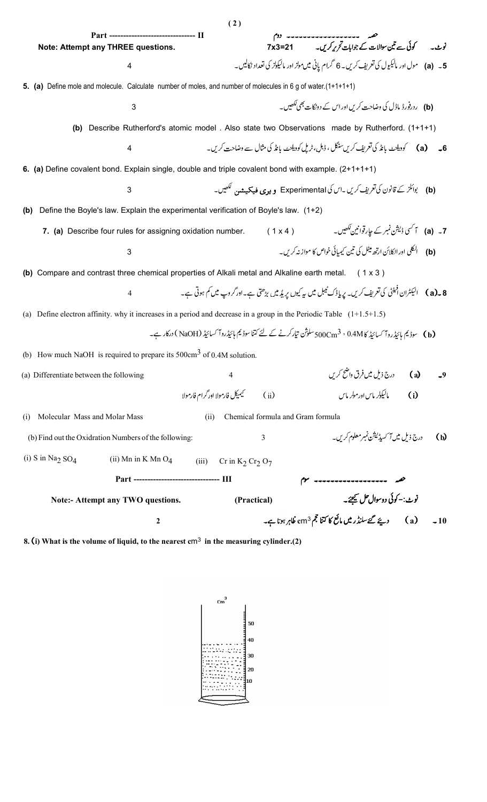| Part ------------------------------- II                                                                                |                                                     |                                   |                                                                                                              |
|------------------------------------------------------------------------------------------------------------------------|-----------------------------------------------------|-----------------------------------|--------------------------------------------------------------------------------------------------------------|
| Note: Attempt any THREE questions.                                                                                     |                                                     |                                   | حصہ ------------------- دوم<br>Tx3=21 کوئی سے تین سوالات کے جوابات تحریر کریں۔                               |
| 4                                                                                                                      |                                                     |                                   | a) ۔ (a) مول اور مالیکیول کی تعریف کریں۔ 6 گرام پانی میںمولز اور مالیکولز کی تعداد نکالیں۔                   |
| 5. (a) Define mole and molecule. Calculate number of moles, and number of molecules in 6 g of water.(1+1+1+1)          |                                                     |                                   |                                                                                                              |
| 3                                                                                                                      |                                                     |                                   | (b) ردرفورڈ ماڈل کی وضاحت کریں اور اس کے دونکات بھی لکھیں۔                                                   |
|                                                                                                                        |                                                     |                                   | (b) Describe Rutherford's atomic model . Also state two Observations made by Rutherford. (1+1+1)             |
| 4                                                                                                                      |                                                     |                                   | 6_       (a)          كوديلزٹ بانڈ كى تعریف كريںسنگل ، ڈبل،ٹریل كوديلزٹ بانڈ كى مثال سے وضاحت كريں۔          |
| 6. (a) Define covalent bond. Explain single, double and triple covalent bond with example. (2+1+1+1)                   |                                                     |                                   |                                                                                                              |
| 3                                                                                                                      |                                                     |                                   |                                                                                                              |
| Define the Boyle's law. Explain the experimental verification of Boyle's law. (1+2)<br>(b)                             |                                                     |                                   |                                                                                                              |
| 7. (a) Describe four rules for assigning oxidation number.                                                             |                                                     |                                   |                                                                                                              |
| 3                                                                                                                      |                                                     |                                   |                                                                                                              |
| (b) Compare and contrast three chemical properties of Alkali metal and Alkaline earth metal.                           |                                                     |                                   | (1x3)                                                                                                        |
| $\overline{4}$                                                                                                         |                                                     |                                   |                                                                                                              |
| (a) Define electron affinity. why it increases in a period and decrease in a group in the Periodic Table $(1+1.5+1.5)$ |                                                     |                                   |                                                                                                              |
|                                                                                                                        |                                                     |                                   | (b) سوڈیم ہائیڈروآ کسائیڈ کا 0.4M ، 500Cm سلوژن تیارکرنے کے لئے کتنا سوڈیم ہائیڈروآ کسائیڈ (NaOH ) درکار ہے۔ |
| (b) How much NaOH is required to prepare its $500 \text{cm}^3$ of 0.4M solution.                                       |                                                     |                                   |                                                                                                              |
| (a) Differentiate between the following                                                                                | 4                                                   |                                   | درج ذیل میں فرق واضح کریں<br>(a)<br>$-9$                                                                     |
|                                                                                                                        | حيميكل فارمولا اور گرام فارمولا                     | (i)                               | ماليكولر ماس اورمولر ماس<br>(i)                                                                              |
| Molecular Mass and Molar Mass<br>(i)                                                                                   | (i)                                                 | Chemical formula and Gram formula |                                                                                                              |
| (b) Find out the Oxidration Numbers of the following:                                                                  |                                                     | 3                                 | درج ذیل میں آ کسیڈیشن نمبر معلوم کریں۔<br>(b)                                                                |
| (i) S in Na <sub>2</sub> SO <sub>4</sub><br>(ii) Mn in K Mn $O_4$                                                      | (iii)<br>Cr in $K_2$ Cr <sub>2</sub> O <sub>7</sub> |                                   |                                                                                                              |
| Part -------------------------------- III                                                                              |                                                     |                                   |                                                                                                              |
| <b>Note:- Attempt any TWO questions.</b>                                                                               |                                                     | (Practical)                       | نوٹ:-کوئی دوسوال حل کیجئے۔                                                                                   |
| 2                                                                                                                      |                                                     |                                   |                                                                                                              |
|                                                                                                                        |                                                     |                                   |                                                                                                              |

**( 2 )**

**8. i) What is the volume of liquid, to the nearest c**m3 **in the measuring cylinder.(2)**